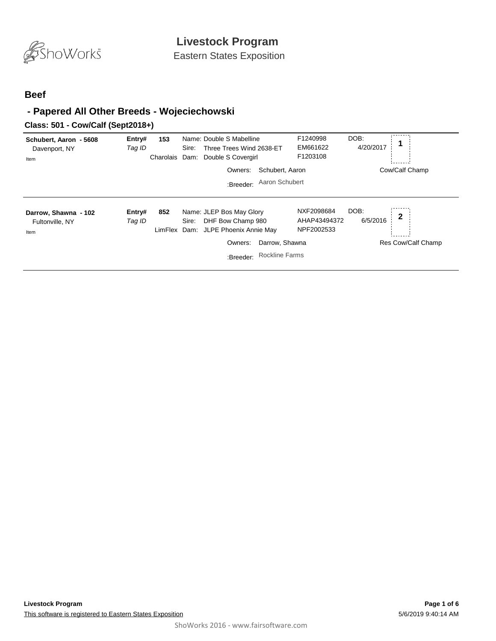

Eastern States Exposition

#### **Beef**

### **- Papered All Other Breeds - Wojeciechowski**

#### **Class: 501 - Cow/Calf (Sept2018+)**

| Schubert, Aaron - 5608<br>Davenport, NY<br>Item | Entry#<br>Tag ID | 153<br>Charolais    | Name: Double S Mabelline<br>Three Trees Wind 2638-ET<br>Sire:<br>Double S Covergirl<br>Dam:<br>Owners:<br>:Breeder: | Schubert, Aaron<br>Aaron Schubert       | F1240998<br>EM661622<br>F1203108         | DOB:<br>4/20/2017 | Cow/Calf Champ          |
|-------------------------------------------------|------------------|---------------------|---------------------------------------------------------------------------------------------------------------------|-----------------------------------------|------------------------------------------|-------------------|-------------------------|
| Darrow, Shawna - 102<br>Fultonville, NY<br>Item | Entry#<br>Tag ID | 852<br>LimFlex Dam: | Name: JLEP Bos May Glory<br>DHF Bow Champ 980<br>Sire:<br>JLPE Phoenix Annie May<br>Owners:<br>:Breeder:            | Darrow, Shawna<br><b>Rockline Farms</b> | NXF2098684<br>AHAP43494372<br>NPF2002533 | DOB:<br>6/5/2016  | 2<br>Res Cow/Calf Champ |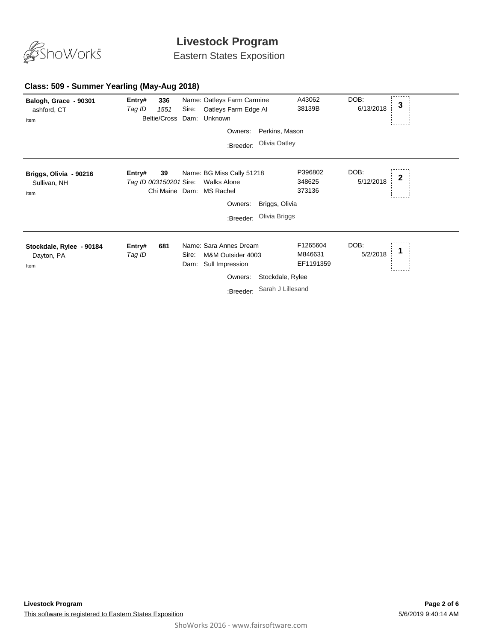

Eastern States Exposition

#### **Class: 509 - Summer Yearling (May-Aug 2018)**

| Balogh, Grace - 90301<br>ashford, CT<br>Item   | Entry#<br>Tag ID                 | 336<br>1551<br>Beltie/Cross | Sire:         | Name: Oatleys Farm Carmine<br>Oatleys Farm Edge AI<br>Dam: Unknown  |                                 | A43062<br>38139B                 | DOB:<br>6/13/2018 | 3 |
|------------------------------------------------|----------------------------------|-----------------------------|---------------|---------------------------------------------------------------------|---------------------------------|----------------------------------|-------------------|---|
|                                                |                                  |                             |               | Owners:                                                             | Perkins, Mason                  |                                  |                   |   |
|                                                |                                  |                             |               | :Breeder:                                                           | Olivia Oatley                   |                                  |                   |   |
| Briggs, Olivia - 90216<br>Sullivan, NH<br>Item | Entry#<br>Tag ID 003150201 Sire: | 39<br>Chi Maine Dam:        |               | Name: BG Miss Cally 51218<br><b>Walks Alone</b><br><b>MS Rachel</b> |                                 | P396802<br>348625<br>373136      | DOB:<br>5/12/2018 | 2 |
|                                                |                                  |                             |               | Owners:                                                             | Briggs, Olivia<br>Olivia Briggs |                                  |                   |   |
|                                                |                                  |                             |               | :Breeder:                                                           |                                 |                                  |                   |   |
| Stockdale, Rylee - 90184<br>Dayton, PA<br>Item | Entry#<br>Tag ID                 | 681                         | Sire:<br>Dam: | Name: Sara Annes Dream<br>M&M Outsider 4003<br>Sull Impression      |                                 | F1265604<br>M846631<br>EF1191359 | DOB:<br>5/2/2018  |   |
|                                                | Stockdale, Rylee<br>Owners:      |                             |               |                                                                     |                                 |                                  |                   |   |
|                                                |                                  |                             |               | :Breeder:                                                           | Sarah J Lillesand               |                                  |                   |   |
|                                                |                                  |                             |               |                                                                     |                                 |                                  |                   |   |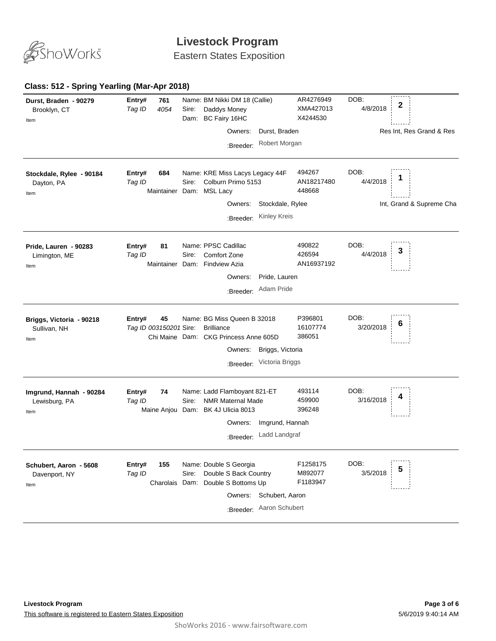

Eastern States Exposition

### **Class: 512 - Spring Yearling (Mar-Apr 2018)**

| Durst, Braden - 90279<br>Brooklyn, CT<br>Item    | 761<br>Entry#<br>4054<br>Tag ID        | Name: BM Nikki DM 18 (Callie)<br>Sire:<br>Daddys Money<br>BC Fairy 16HC<br>Dam:                                                                                     | AR4276949<br>XMA427013<br>X4244530 | DOB:<br>2<br>4/8/2018                        |
|--------------------------------------------------|----------------------------------------|---------------------------------------------------------------------------------------------------------------------------------------------------------------------|------------------------------------|----------------------------------------------|
|                                                  |                                        | Owners:<br>Durst, Braden                                                                                                                                            |                                    | Res Int, Res Grand & Res                     |
|                                                  |                                        | Robert Morgan<br>:Breeder:                                                                                                                                          |                                    |                                              |
| Stockdale, Rylee - 90184<br>Dayton, PA<br>Item   | Entry#<br>684<br>Tag ID<br>Maintainer  | Name: KRE Miss Lacys Legacy 44F<br>Colburn Primo 5153<br>Sire:<br>Dam: MSL Lacy<br>Stockdale, Rylee<br>Owners:<br><b>Kinley Kreis</b><br>:Breeder:                  | 494267<br>AN18217480<br>448668     | DOB:<br>4/4/2018<br>Int, Grand & Supreme Cha |
| Pride, Lauren - 90283<br>Limington, ME<br>Item   | 81<br>Entry#<br>Tag ID                 | Name: PPSC Cadillac<br>Comfort Zone<br>Sire:<br>Maintainer Dam: Findview Azia<br>Pride, Lauren<br>Owners:<br>Adam Pride<br>:Breeder:                                | 490822<br>426594<br>AN16937192     | DOB:<br>З<br>4/4/2018                        |
| Briggs, Victoria - 90218<br>Sullivan, NH<br>Item | 45<br>Entry#<br>Tag ID 003150201 Sire: | Name: BG Miss Queen B 32018<br><b>Brilliance</b><br>Chi Maine Dam: CKG Princess Anne 605D<br>Owners:<br>Briggs, Victoria<br>Victoria Briggs<br>:Breeder:            | P396801<br>16107774<br>386051      | DOB:<br>6<br>3/20/2018                       |
| Imgrund, Hannah - 90284<br>Lewisburg, PA<br>Item | 74<br>Entry#<br>Tag ID                 | Name: Ladd Flamboyant 821-ET<br>Sire:<br><b>NMR Maternal Made</b><br>Maine Anjou Dam: BK 4J Ulicia 8013<br>Imgrund, Hannah<br>Owners:<br>Ladd Landgraf<br>:Breeder: | 493114<br>459900<br>396248         | DOB:<br>3/16/2018                            |
| Schubert, Aaron - 5608<br>Davenport, NY<br>Item  | Entry#<br>155<br>Tag ID                | Name: Double S Georgia<br>Double S Back Country<br>Sire:<br>Charolais Dam: Double S Bottoms Up<br>Schubert, Aaron<br>Owners:<br>Aaron Schubert<br>:Breeder:         | F1258175<br>M892077<br>F1183947    | DOB:<br>5<br>3/5/2018                        |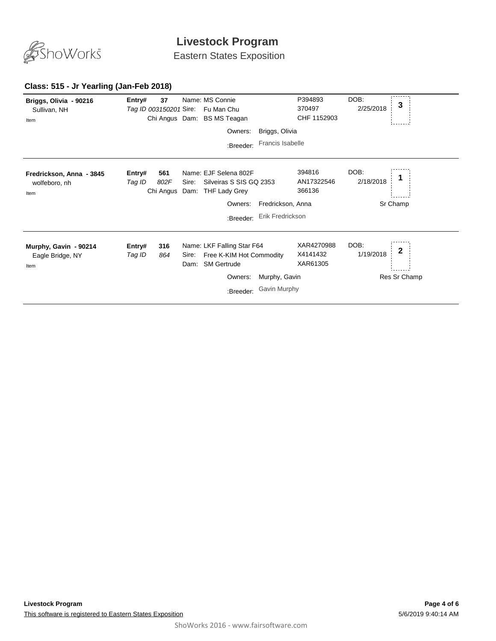

Eastern States Exposition

#### **Class: 515 - Jr Yearling (Jan-Feb 2018)**

| Briggs, Olivia - 90216<br>Sullivan, NH<br>Item    | Entry#<br>Tag ID 003150201 Sire: | 37                       |       | Name: MS Connie<br>Fu Man Chu<br>Chi Angus Dam: BS MS Teagan                                       |                               | P394893<br>370497<br>CHF 1152903   | DOB:<br>2/25/2018 | 3                            |
|---------------------------------------------------|----------------------------------|--------------------------|-------|----------------------------------------------------------------------------------------------------|-------------------------------|------------------------------------|-------------------|------------------------------|
|                                                   |                                  |                          |       | Owners:                                                                                            | Briggs, Olivia                |                                    |                   |                              |
|                                                   |                                  |                          |       | :Breeder:                                                                                          | Francis Isabelle              |                                    |                   |                              |
| Fredrickson, Anna - 3845<br>wolfeboro, nh<br>Item | Entry#<br>Tag ID                 | 561<br>802F<br>Chi Angus | Sire: | Name: EJF Selena 802F<br>Silveiras S SIS GQ 2353<br>Dam: THF Lady Grey                             |                               | 394816<br>AN17322546<br>366136     | DOB:<br>2/18/2018 |                              |
|                                                   |                                  |                          |       | Owners:                                                                                            | Fredrickson, Anna             |                                    |                   | Sr Champ                     |
|                                                   |                                  |                          |       | :Breeder:                                                                                          | Erik Fredrickson              |                                    |                   |                              |
| Murphy, Gavin - 90214<br>Eagle Bridge, NY<br>Item | Entry#<br>Tag ID                 | 316<br>864               | Sire: | Name: LKF Falling Star F64<br>Free K-KIM Hot Commodity<br>Dam: SM Gertrude<br>Owners:<br>:Breeder: | Murphy, Gavin<br>Gavin Murphy | XAR4270988<br>X4141432<br>XAR61305 | DOB:<br>1/19/2018 | $\mathbf{2}$<br>Res Sr Champ |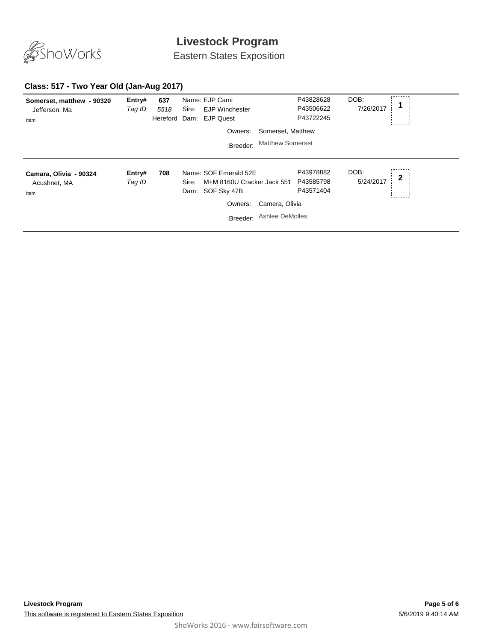

Eastern States Exposition

### **Class: 517 - Two Year Old (Jan-Aug 2017)**

| Somerset, matthew - 90320<br>Jefferson, Ma<br>Item | Entry#<br>Tag ID | 637<br>5518<br>Hereford | Sire:         | Name: EJP Cami<br><b>EJP Winchester</b><br>Dam: EJP Quest<br>Owners:<br>:Breeder:          | Somerset, Matthew<br><b>Matthew Somerset</b> | P43828628<br>P43506622<br>P43722245 | DOB:<br>7/26/2017 |              |
|----------------------------------------------------|------------------|-------------------------|---------------|--------------------------------------------------------------------------------------------|----------------------------------------------|-------------------------------------|-------------------|--------------|
| Camara, Olivia - 90324<br>Acushnet, MA<br>Item     | Entry#<br>Tag ID | 708                     | Sire:<br>Dam: | Name: SOF Emerald 52E<br>M+M 8160U Cracker Jack 551<br>SOF Sky 47B<br>Owners:<br>:Breeder: | Camera, Olivia<br>Ashlee DeMolles            | P43978882<br>P43585798<br>P43571404 | DOB:<br>5/24/2017 | $\mathbf{2}$ |